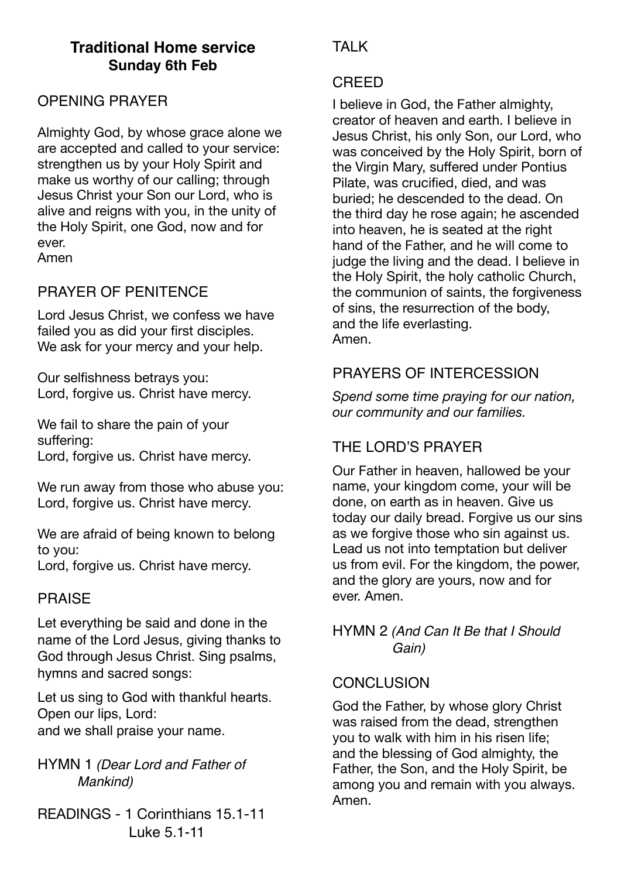## **Traditional Home service Sunday 6th Feb**

## OPENING PRAYER

Almighty God, by whose grace alone we are accepted and called to your service: strengthen us by your Holy Spirit and make us worthy of our calling; through Jesus Christ your Son our Lord, who is alive and reigns with you, in the unity of the Holy Spirit, one God, now and for ever.

Amen

## PRAYER OF PENITENCE

Lord Jesus Christ, we confess we have failed you as did your first disciples. We ask for your mercy and your help.

Our selfishness betrays you: Lord, forgive us. Christ have mercy.

We fail to share the pain of your suffering: Lord, forgive us. Christ have mercy.

We run away from those who abuse you: Lord, forgive us. Christ have mercy.

We are afraid of being known to belong to you:

## Lord, forgive us. Christ have mercy.

## PRAISE

Let everything be said and done in the name of the Lord Jesus, giving thanks to God through Jesus Christ. Sing psalms, hymns and sacred songs:

Let us sing to God with thankful hearts. Open our lips, Lord: and we shall praise your name.

HYMN 1 *(Dear Lord and Father of Mankind)*

READINGS - 1 Corinthians 15.1-11 Luke 5.1-11

# TAI K

### CREED

I believe in God, the Father almighty, creator of heaven and earth. I believe in Jesus Christ, his only Son, our Lord, who was conceived by the Holy Spirit, born of the Virgin Mary, suffered under Pontius Pilate, was crucified, died, and was buried; he descended to the dead. On the third day he rose again; he ascended into heaven, he is seated at the right hand of the Father, and he will come to judge the living and the dead. I believe in the Holy Spirit, the holy catholic Church, the communion of saints, the forgiveness of sins, the resurrection of the body, and the life everlasting. Amen.

## PRAYERS OF INTERCESSION

*Spend some time praying for our nation, our community and our families.* 

# THE LORD'S PRAYER

Our Father in heaven, hallowed be your name, your kingdom come, your will be done, on earth as in heaven. Give us today our daily bread. Forgive us our sins as we forgive those who sin against us. Lead us not into temptation but deliver us from evil. For the kingdom, the power, and the glory are yours, now and for ever. Amen.

HYMN 2 *(And Can It Be that I Should Gain)*

## **CONCLUSION**

God the Father, by whose glory Christ was raised from the dead, strengthen you to walk with him in his risen life; and the blessing of God almighty, the Father, the Son, and the Holy Spirit, be among you and remain with you always. Amen.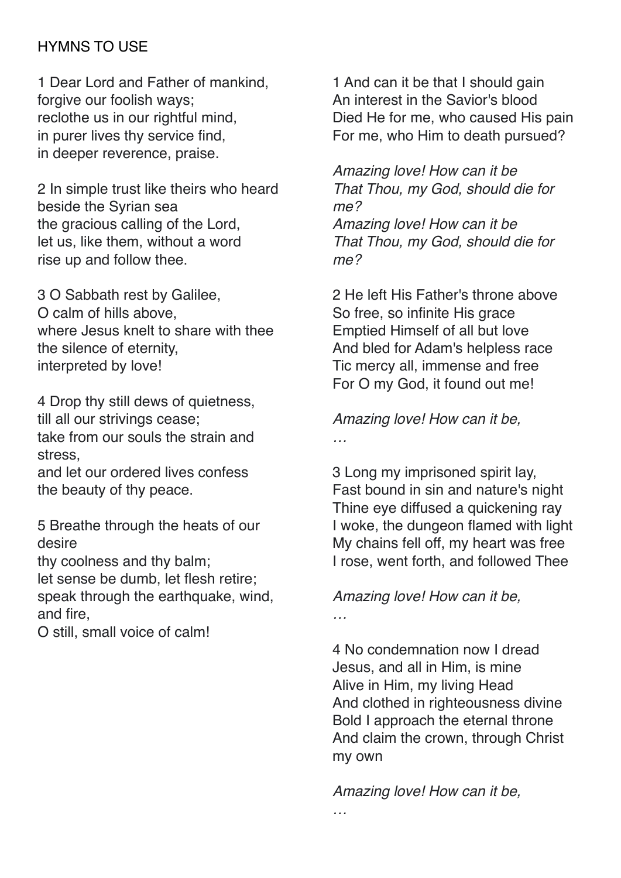## HYMNS TO USE

1 Dear Lord and Father of mankind, forgive our foolish ways; reclothe us in our rightful mind, in purer lives thy service find, in deeper reverence, praise.

2 In simple trust like theirs who heard beside the Syrian sea the gracious calling of the Lord, let us, like them, without a word rise up and follow thee.

3 O Sabbath rest by Galilee, O calm of hills above, where Jesus knelt to share with thee the silence of eternity, interpreted by love!

4 Drop thy still dews of quietness, till all our strivings cease; take from our souls the strain and stress,

and let our ordered lives confess the beauty of thy peace.

5 Breathe through the heats of our desire

thy coolness and thy balm;

let sense be dumb, let flesh retire; speak through the earthquake, wind, and fire,

O still, small voice of calm!

1 And can it be that I should gain An interest in the Savior's blood Died He for me, who caused His pain For me, who Him to death pursued?

*Amazing love! How can it be That Thou, my God, should die for me? Amazing love! How can it be That Thou, my God, should die for me?*

2 He left His Father's throne above So free, so infinite His grace Emptied Himself of all but love And bled for Adam's helpless race Tic mercy all, immense and free For O my God, it found out me!

*Amazing love! How can it be,*

*…*

3 Long my imprisoned spirit lay, Fast bound in sin and nature's night Thine eye diffused a quickening ray I woke, the dungeon flamed with light My chains fell off, my heart was free I rose, went forth, and followed Thee

## *Amazing love! How can it be,*

*…*

*…*

4 No condemnation now I dread Jesus, and all in Him, is mine Alive in Him, my living Head And clothed in righteousness divine Bold I approach the eternal throne And claim the crown, through Christ my own

*Amazing love! How can it be,*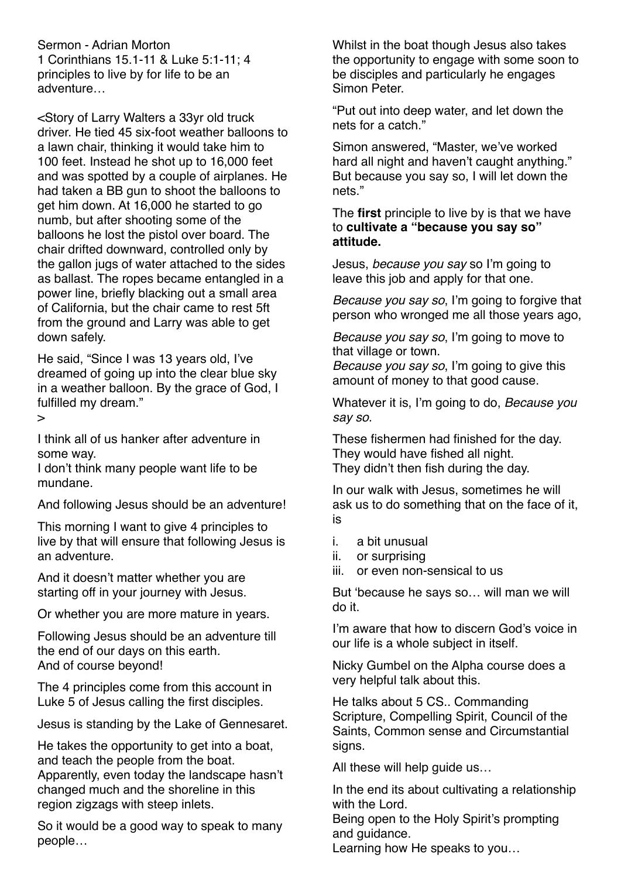Sermon - Adrian Morton 1 Corinthians 15.1-11 & Luke 5:1-11; 4 principles to live by for life to be an adventure…

<Story of Larry Walters a 33yr old truck driver. He tied 45 six-foot weather balloons to a lawn chair, thinking it would take him to 100 feet. Instead he shot up to 16,000 feet and was spotted by a couple of airplanes. He had taken a BB gun to shoot the balloons to get him down. At 16,000 he started to go numb, but after shooting some of the balloons he lost the pistol over board. The chair drifted downward, controlled only by the gallon jugs of water attached to the sides as ballast. The ropes became entangled in a power line, briefly blacking out a small area of California, but the chair came to rest 5ft from the ground and Larry was able to get down safely.

He said, "Since I was 13 years old, I've dreamed of going up into the clear blue sky in a weather balloon. By the grace of God, I fulfilled my dream."

>

I think all of us hanker after adventure in some way.

I don't think many people want life to be mundane.

And following Jesus should be an adventure!

This morning I want to give 4 principles to live by that will ensure that following Jesus is an adventure.

And it doesn't matter whether you are starting off in your journey with Jesus.

Or whether you are more mature in years.

Following Jesus should be an adventure till the end of our days on this earth. And of course beyond!

The 4 principles come from this account in Luke 5 of Jesus calling the first disciples.

Jesus is standing by the Lake of Gennesaret.

He takes the opportunity to get into a boat, and teach the people from the boat. Apparently, even today the landscape hasn't changed much and the shoreline in this region zigzags with steep inlets.

So it would be a good way to speak to many people…

Whilst in the boat though Jesus also takes the opportunity to engage with some soon to be disciples and particularly he engages Simon Peter.

"Put out into deep water, and let down the nets for a catch."

Simon answered, "Master, we've worked hard all night and haven't caught anything." But because you say so, I will let down the nets."

The **first** principle to live by is that we have to **cultivate a "because you say so" attitude.**

Jesus, *because you say* so I'm going to leave this job and apply for that one.

*Because you say so*, I'm going to forgive that person who wronged me all those years ago,

*Because you say so*, I'm going to move to that village or town.

*Because you say so*, I'm going to give this amount of money to that good cause.

Whatever it is, I'm going to do, *Because you say so.*

These fishermen had finished for the day. They would have fished all night. They didn't then fish during the day.

In our walk with Jesus, sometimes he will ask us to do something that on the face of it, is

- i. a bit unusual
- ii. or surprising
- iii. or even non-sensical to us

But 'because he says so… will man we will do it.

I'm aware that how to discern God's voice in our life is a whole subject in itself.

Nicky Gumbel on the Alpha course does a very helpful talk about this.

He talks about 5 CS.. Commanding Scripture, Compelling Spirit, Council of the Saints, Common sense and Circumstantial signs.

All these will help guide us…

In the end its about cultivating a relationship with the Lord.

Being open to the Holy Spirit's prompting and guidance.

Learning how He speaks to you…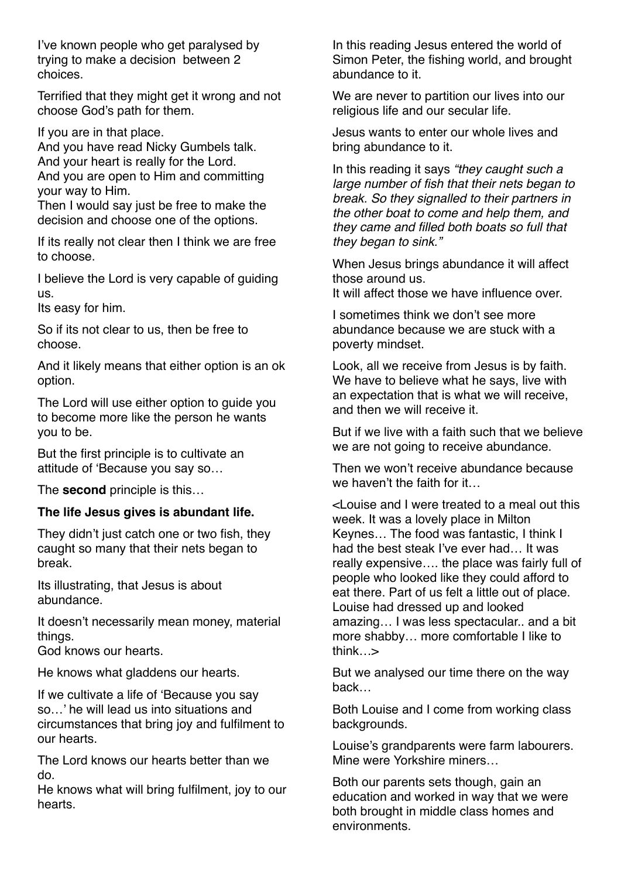I've known people who get paralysed by trying to make a decision between 2 choices.

Terrified that they might get it wrong and not choose God's path for them.

If you are in that place.

And you have read Nicky Gumbels talk. And your heart is really for the Lord. And you are open to Him and committing your way to Him.

Then I would say just be free to make the decision and choose one of the options.

If its really not clear then I think we are free to choose.

I believe the Lord is very capable of guiding us.

Its easy for him.

So if its not clear to us, then be free to choose.

And it likely means that either option is an ok option.

The Lord will use either option to guide you to become more like the person he wants you to be.

But the first principle is to cultivate an attitude of 'Because you say so…

The **second** principle is this…

#### **The life Jesus gives is abundant life.**

They didn't just catch one or two fish, they caught so many that their nets began to break.

Its illustrating, that Jesus is about abundance.

It doesn't necessarily mean money, material things.

God knows our hearts.

He knows what gladdens our hearts.

If we cultivate a life of 'Because you say so…' he will lead us into situations and circumstances that bring joy and fulfilment to our hearts.

The Lord knows our hearts better than we do.

He knows what will bring fulfilment, joy to our hearts.

In this reading Jesus entered the world of Simon Peter, the fishing world, and brought abundance to it.

We are never to partition our lives into our religious life and our secular life.

Jesus wants to enter our whole lives and bring abundance to it.

In this reading it says *"they caught such a large number of fish that their nets began to break. So they signalled to their partners in the other boat to come and help them, and they came and filled both boats so full that they began to sink."*

When Jesus brings abundance it will affect those around us.

It will affect those we have influence over.

I sometimes think we don't see more abundance because we are stuck with a poverty mindset.

Look, all we receive from Jesus is by faith. We have to believe what he says, live with an expectation that is what we will receive, and then we will receive it.

But if we live with a faith such that we believe we are not going to receive abundance.

Then we won't receive abundance because we haven't the faith for it…

<Louise and I were treated to a meal out this week. It was a lovely place in Milton Keynes… The food was fantastic, I think I had the best steak I've ever had… It was really expensive…. the place was fairly full of people who looked like they could afford to eat there. Part of us felt a little out of place. Louise had dressed up and looked amazing… I was less spectacular.. and a bit more shabby… more comfortable I like to think…>

But we analysed our time there on the way back…

Both Louise and I come from working class backgrounds.

Louise's grandparents were farm labourers. Mine were Yorkshire miners…

Both our parents sets though, gain an education and worked in way that we were both brought in middle class homes and environments.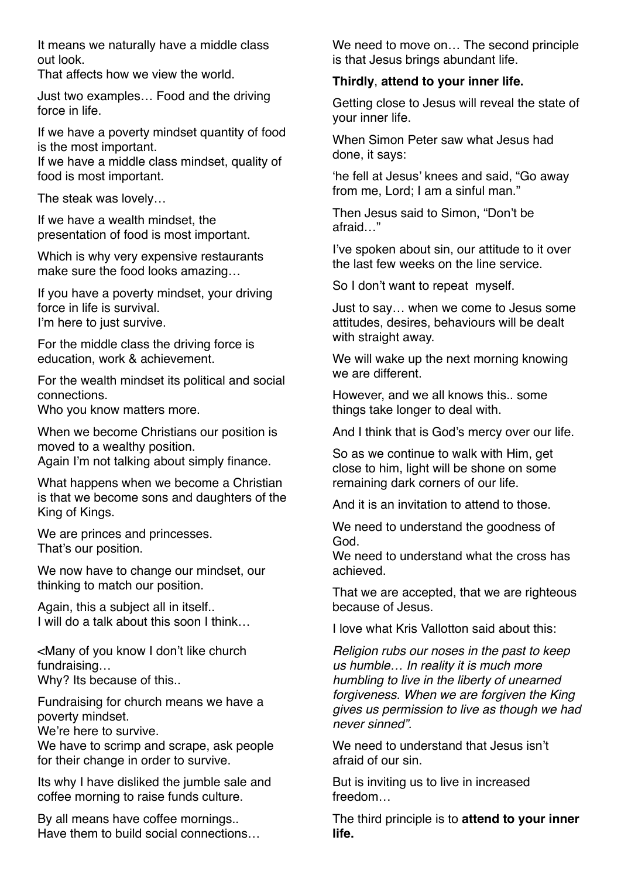It means we naturally have a middle class out look.

That affects how we view the world.

Just two examples… Food and the driving force in life.

If we have a poverty mindset quantity of food is the most important. If we have a middle class mindset, quality of food is most important.

The steak was lovely…

If we have a wealth mindset, the presentation of food is most important.

Which is why very expensive restaurants make sure the food looks amazing…

If you have a poverty mindset, your driving force in life is survival. I'm here to just survive.

For the middle class the driving force is education, work & achievement.

For the wealth mindset its political and social connections.

Who you know matters more.

When we become Christians our position is moved to a wealthy position. Again I'm not talking about simply finance.

What happens when we become a Christian is that we become sons and daughters of the King of Kings.

We are princes and princesses. That's our position.

We now have to change our mindset, our thinking to match our position.

Again, this a subject all in itself.. I will do a talk about this soon I think…

<Many of you know I don't like church fundraising…

Why? Its because of this..

Fundraising for church means we have a poverty mindset.

We're here to survive.

We have to scrimp and scrape, ask people for their change in order to survive.

Its why I have disliked the jumble sale and coffee morning to raise funds culture.

By all means have coffee mornings.. Have them to build social connections… We need to move on… The second principle is that Jesus brings abundant life.

#### **Thirdly**, **attend to your inner life.**

Getting close to Jesus will reveal the state of your inner life.

When Simon Peter saw what Jesus had done, it says:

'he fell at Jesus' knees and said, "Go away from me, Lord; I am a sinful man."

Then Jesus said to Simon, "Don't be afraid…"

I've spoken about sin, our attitude to it over the last few weeks on the line service.

So I don't want to repeat myself.

Just to say… when we come to Jesus some attitudes, desires, behaviours will be dealt with straight away.

We will wake up the next morning knowing we are different.

However, and we all knows this.. some things take longer to deal with.

And I think that is God's mercy over our life.

So as we continue to walk with Him, get close to him, light will be shone on some remaining dark corners of our life.

And it is an invitation to attend to those.

We need to understand the goodness of God.

We need to understand what the cross has achieved.

That we are accepted, that we are righteous because of Jesus.

I love what Kris Vallotton said about this:

*Religion rubs our noses in the past to keep us humble… In reality it is much more humbling to live in the liberty of unearned forgiveness. When we are forgiven the King gives us permission to live as though we had never sinned".*

We need to understand that Jesus isn't afraid of our sin.

But is inviting us to live in increased freedom…

The third principle is to **attend to your inner life.**